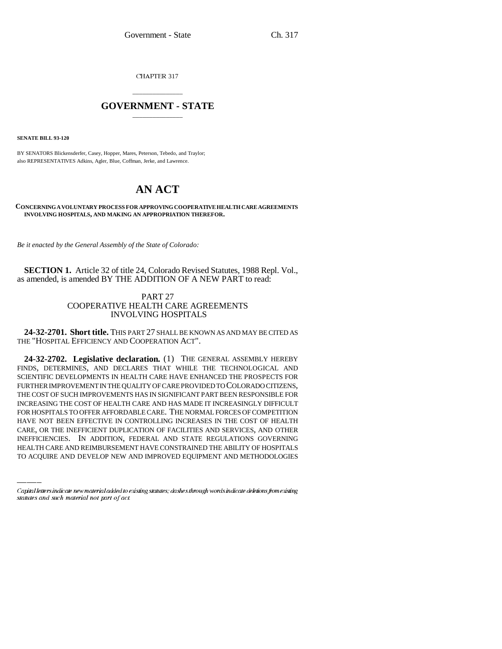CHAPTER 317

# \_\_\_\_\_\_\_\_\_\_\_\_\_\_\_ **GOVERNMENT - STATE** \_\_\_\_\_\_\_\_\_\_\_\_\_\_\_

**SENATE BILL 93-120**

BY SENATORS Blickensderfer, Casey, Hopper, Mares, Peterson, Tebedo, and Traylor; also REPRESENTATIVES Adkins, Agler, Blue, Coffman, Jerke, and Lawrence.

# **AN ACT**

#### **CONCERNING A VOLUNTARY PROCESS FOR APPROVING COOPERATIVE HEALTH CARE AGREEMENTS INVOLVING HOSPITALS, AND MAKING AN APPROPRIATION THEREFOR.**

*Be it enacted by the General Assembly of the State of Colorado:*

**SECTION 1.** Article 32 of title 24, Colorado Revised Statutes, 1988 Repl. Vol., as amended, is amended BY THE ADDITION OF A NEW PART to read:

## PART 27 COOPERATIVE HEALTH CARE AGREEMENTS INVOLVING HOSPITALS

**24-32-2701. Short title.** THIS PART 27 SHALL BE KNOWN AS AND MAY BE CITED AS THE "HOSPITAL EFFICIENCY AND COOPERATION ACT".

HAVE NOT BEEN EFFECTIVE IN CONTROLLING INCREASES IN THE COST OF HEALTH **24-32-2702. Legislative declaration.** (1) THE GENERAL ASSEMBLY HEREBY FINDS, DETERMINES, AND DECLARES THAT WHILE THE TECHNOLOGICAL AND SCIENTIFIC DEVELOPMENTS IN HEALTH CARE HAVE ENHANCED THE PROSPECTS FOR FURTHER IMPROVEMENT IN THE QUALITY OF CARE PROVIDED TO COLORADO CITIZENS, THE COST OF SUCH IMPROVEMENTS HAS IN SIGNIFICANT PART BEEN RESPONSIBLE FOR INCREASING THE COST OF HEALTH CARE AND HAS MADE IT INCREASINGLY DIFFICULT FOR HOSPITALS TO OFFER AFFORDABLE CARE. THE NORMAL FORCES OF COMPETITION CARE, OR THE INEFFICIENT DUPLICATION OF FACILITIES AND SERVICES, AND OTHER INEFFICIENCIES. IN ADDITION, FEDERAL AND STATE REGULATIONS GOVERNING HEALTH CARE AND REIMBURSEMENT HAVE CONSTRAINED THE ABILITY OF HOSPITALS TO ACQUIRE AND DEVELOP NEW AND IMPROVED EQUIPMENT AND METHODOLOGIES

Capital letters indicate new material added to existing statutes; dashes through words indicate deletions from existing statutes and such material not part of act.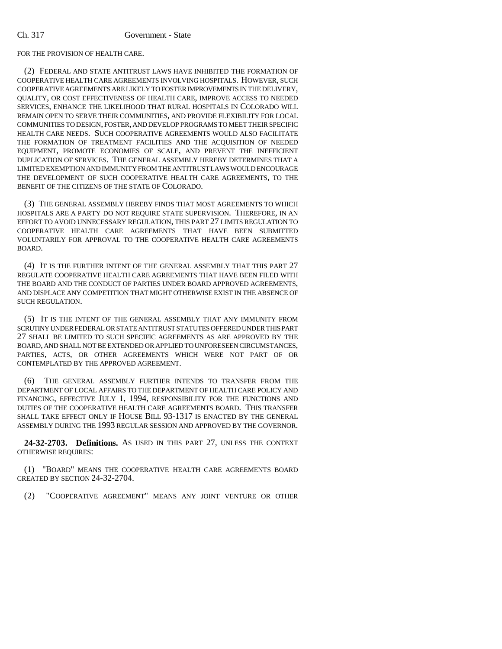#### Ch. 317 Government - State

FOR THE PROVISION OF HEALTH CARE.

(2) FEDERAL AND STATE ANTITRUST LAWS HAVE INHIBITED THE FORMATION OF COOPERATIVE HEALTH CARE AGREEMENTS INVOLVING HOSPITALS. HOWEVER, SUCH COOPERATIVE AGREEMENTS ARE LIKELY TO FOSTER IMPROVEMENTS IN THE DELIVERY, QUALITY, OR COST EFFECTIVENESS OF HEALTH CARE, IMPROVE ACCESS TO NEEDED SERVICES, ENHANCE THE LIKELIHOOD THAT RURAL HOSPITALS IN COLORADO WILL REMAIN OPEN TO SERVE THEIR COMMUNITIES, AND PROVIDE FLEXIBILITY FOR LOCAL COMMUNITIES TO DESIGN, FOSTER, AND DEVELOP PROGRAMS TO MEET THEIR SPECIFIC HEALTH CARE NEEDS. SUCH COOPERATIVE AGREEMENTS WOULD ALSO FACILITATE THE FORMATION OF TREATMENT FACILITIES AND THE ACQUISITION OF NEEDED EQUIPMENT, PROMOTE ECONOMIES OF SCALE, AND PREVENT THE INEFFICIENT DUPLICATION OF SERVICES. THE GENERAL ASSEMBLY HEREBY DETERMINES THAT A LIMITED EXEMPTION AND IMMUNITY FROM THE ANTITRUST LAWS WOULD ENCOURAGE THE DEVELOPMENT OF SUCH COOPERATIVE HEALTH CARE AGREEMENTS, TO THE BENEFIT OF THE CITIZENS OF THE STATE OF COLORADO.

(3) THE GENERAL ASSEMBLY HEREBY FINDS THAT MOST AGREEMENTS TO WHICH HOSPITALS ARE A PARTY DO NOT REQUIRE STATE SUPERVISION. THEREFORE, IN AN EFFORT TO AVOID UNNECESSARY REGULATION, THIS PART 27 LIMITS REGULATION TO COOPERATIVE HEALTH CARE AGREEMENTS THAT HAVE BEEN SUBMITTED VOLUNTARILY FOR APPROVAL TO THE COOPERATIVE HEALTH CARE AGREEMENTS BOARD.

(4) IT IS THE FURTHER INTENT OF THE GENERAL ASSEMBLY THAT THIS PART 27 REGULATE COOPERATIVE HEALTH CARE AGREEMENTS THAT HAVE BEEN FILED WITH THE BOARD AND THE CONDUCT OF PARTIES UNDER BOARD APPROVED AGREEMENTS, AND DISPLACE ANY COMPETITION THAT MIGHT OTHERWISE EXIST IN THE ABSENCE OF SUCH REGULATION.

(5) IT IS THE INTENT OF THE GENERAL ASSEMBLY THAT ANY IMMUNITY FROM SCRUTINY UNDER FEDERAL OR STATE ANTITRUST STATUTES OFFERED UNDER THIS PART 27 SHALL BE LIMITED TO SUCH SPECIFIC AGREEMENTS AS ARE APPROVED BY THE BOARD, AND SHALL NOT BE EXTENDED OR APPLIED TO UNFORESEEN CIRCUMSTANCES, PARTIES, ACTS, OR OTHER AGREEMENTS WHICH WERE NOT PART OF OR CONTEMPLATED BY THE APPROVED AGREEMENT.

(6) THE GENERAL ASSEMBLY FURTHER INTENDS TO TRANSFER FROM THE DEPARTMENT OF LOCAL AFFAIRS TO THE DEPARTMENT OF HEALTH CARE POLICY AND FINANCING, EFFECTIVE JULY 1, 1994, RESPONSIBILITY FOR THE FUNCTIONS AND DUTIES OF THE COOPERATIVE HEALTH CARE AGREEMENTS BOARD. THIS TRANSFER SHALL TAKE EFFECT ONLY IF HOUSE BILL 93-1317 IS ENACTED BY THE GENERAL ASSEMBLY DURING THE 1993 REGULAR SESSION AND APPROVED BY THE GOVERNOR.

**24-32-2703. Definitions.** AS USED IN THIS PART 27, UNLESS THE CONTEXT OTHERWISE REQUIRES:

(1) "BOARD" MEANS THE COOPERATIVE HEALTH CARE AGREEMENTS BOARD CREATED BY SECTION 24-32-2704.

(2) "COOPERATIVE AGREEMENT" MEANS ANY JOINT VENTURE OR OTHER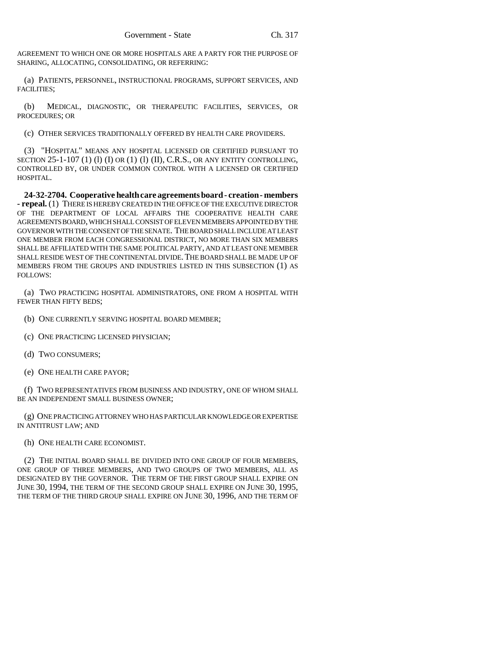AGREEMENT TO WHICH ONE OR MORE HOSPITALS ARE A PARTY FOR THE PURPOSE OF SHARING, ALLOCATING, CONSOLIDATING, OR REFERRING:

(a) PATIENTS, PERSONNEL, INSTRUCTIONAL PROGRAMS, SUPPORT SERVICES, AND FACILITIES;

(b) MEDICAL, DIAGNOSTIC, OR THERAPEUTIC FACILITIES, SERVICES, OR PROCEDURES; OR

(c) OTHER SERVICES TRADITIONALLY OFFERED BY HEALTH CARE PROVIDERS.

(3) "HOSPITAL" MEANS ANY HOSPITAL LICENSED OR CERTIFIED PURSUANT TO SECTION  $25-1-107$  (1) (I) OR (1) (I) (II), C.R.S., OR ANY ENTITY CONTROLLING, CONTROLLED BY, OR UNDER COMMON CONTROL WITH A LICENSED OR CERTIFIED HOSPITAL.

**24-32-2704. Cooperative health care agreements board - creation - members - repeal.** (1) THERE IS HEREBY CREATED IN THE OFFICE OF THE EXECUTIVE DIRECTOR OF THE DEPARTMENT OF LOCAL AFFAIRS THE COOPERATIVE HEALTH CARE AGREEMENTS BOARD, WHICH SHALL CONSIST OF ELEVEN MEMBERS APPOINTED BY THE GOVERNOR WITH THE CONSENT OF THE SENATE. THE BOARD SHALL INCLUDE AT LEAST ONE MEMBER FROM EACH CONGRESSIONAL DISTRICT, NO MORE THAN SIX MEMBERS SHALL BE AFFILIATED WITH THE SAME POLITICAL PARTY, AND AT LEAST ONE MEMBER SHALL RESIDE WEST OF THE CONTINENTAL DIVIDE. THE BOARD SHALL BE MADE UP OF MEMBERS FROM THE GROUPS AND INDUSTRIES LISTED IN THIS SUBSECTION (1) AS FOLLOWS:

(a) TWO PRACTICING HOSPITAL ADMINISTRATORS, ONE FROM A HOSPITAL WITH FEWER THAN FIFTY BEDS;

(b) ONE CURRENTLY SERVING HOSPITAL BOARD MEMBER;

- (c) ONE PRACTICING LICENSED PHYSICIAN;
- (d) TWO CONSUMERS;
- (e) ONE HEALTH CARE PAYOR;

(f) TWO REPRESENTATIVES FROM BUSINESS AND INDUSTRY, ONE OF WHOM SHALL BE AN INDEPENDENT SMALL BUSINESS OWNER;

(g) ONE PRACTICING ATTORNEY WHO HAS PARTICULAR KNOWLEDGE OR EXPERTISE IN ANTITRUST LAW; AND

(h) ONE HEALTH CARE ECONOMIST.

(2) THE INITIAL BOARD SHALL BE DIVIDED INTO ONE GROUP OF FOUR MEMBERS, ONE GROUP OF THREE MEMBERS, AND TWO GROUPS OF TWO MEMBERS, ALL AS DESIGNATED BY THE GOVERNOR. THE TERM OF THE FIRST GROUP SHALL EXPIRE ON JUNE 30, 1994, THE TERM OF THE SECOND GROUP SHALL EXPIRE ON JUNE 30, 1995, THE TERM OF THE THIRD GROUP SHALL EXPIRE ON JUNE 30, 1996, AND THE TERM OF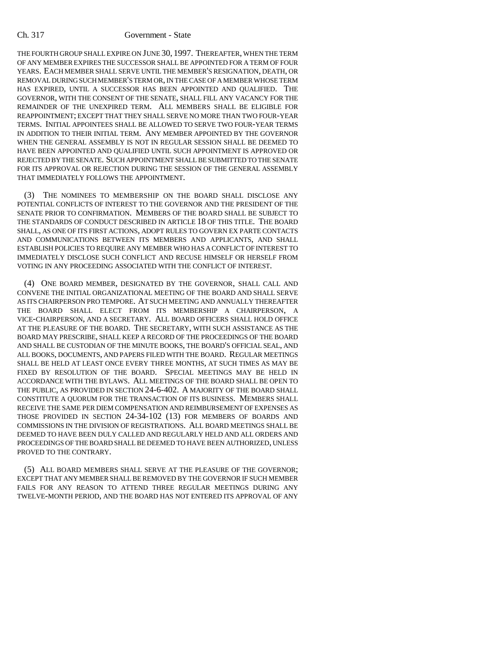### Ch. 317 Government - State

THE FOURTH GROUP SHALL EXPIRE ON JUNE 30, 1997. THEREAFTER, WHEN THE TERM OF ANY MEMBER EXPIRES THE SUCCESSOR SHALL BE APPOINTED FOR A TERM OF FOUR YEARS. EACH MEMBER SHALL SERVE UNTIL THE MEMBER'S RESIGNATION, DEATH, OR REMOVAL DURING SUCH MEMBER'S TERM OR, IN THE CASE OF A MEMBER WHOSE TERM HAS EXPIRED, UNTIL A SUCCESSOR HAS BEEN APPOINTED AND QUALIFIED. THE GOVERNOR, WITH THE CONSENT OF THE SENATE, SHALL FILL ANY VACANCY FOR THE REMAINDER OF THE UNEXPIRED TERM. ALL MEMBERS SHALL BE ELIGIBLE FOR REAPPOINTMENT; EXCEPT THAT THEY SHALL SERVE NO MORE THAN TWO FOUR-YEAR TERMS. INITIAL APPOINTEES SHALL BE ALLOWED TO SERVE TWO FOUR-YEAR TERMS IN ADDITION TO THEIR INITIAL TERM. ANY MEMBER APPOINTED BY THE GOVERNOR WHEN THE GENERAL ASSEMBLY IS NOT IN REGULAR SESSION SHALL BE DEEMED TO HAVE BEEN APPOINTED AND QUALIFIED UNTIL SUCH APPOINTMENT IS APPROVED OR REJECTED BY THE SENATE. SUCH APPOINTMENT SHALL BE SUBMITTED TO THE SENATE FOR ITS APPROVAL OR REJECTION DURING THE SESSION OF THE GENERAL ASSEMBLY THAT IMMEDIATELY FOLLOWS THE APPOINTMENT.

(3) THE NOMINEES TO MEMBERSHIP ON THE BOARD SHALL DISCLOSE ANY POTENTIAL CONFLICTS OF INTEREST TO THE GOVERNOR AND THE PRESIDENT OF THE SENATE PRIOR TO CONFIRMATION. MEMBERS OF THE BOARD SHALL BE SUBJECT TO THE STANDARDS OF CONDUCT DESCRIBED IN ARTICLE 18 OF THIS TITLE. THE BOARD SHALL, AS ONE OF ITS FIRST ACTIONS, ADOPT RULES TO GOVERN EX PARTE CONTACTS AND COMMUNICATIONS BETWEEN ITS MEMBERS AND APPLICANTS, AND SHALL ESTABLISH POLICIES TO REQUIRE ANY MEMBER WHO HAS A CONFLICT OF INTEREST TO IMMEDIATELY DISCLOSE SUCH CONFLICT AND RECUSE HIMSELF OR HERSELF FROM VOTING IN ANY PROCEEDING ASSOCIATED WITH THE CONFLICT OF INTEREST.

(4) ONE BOARD MEMBER, DESIGNATED BY THE GOVERNOR, SHALL CALL AND CONVENE THE INITIAL ORGANIZATIONAL MEETING OF THE BOARD AND SHALL SERVE AS ITS CHAIRPERSON PRO TEMPORE. AT SUCH MEETING AND ANNUALLY THEREAFTER THE BOARD SHALL ELECT FROM ITS MEMBERSHIP A CHAIRPERSON, A VICE-CHAIRPERSON, AND A SECRETARY. ALL BOARD OFFICERS SHALL HOLD OFFICE AT THE PLEASURE OF THE BOARD. THE SECRETARY, WITH SUCH ASSISTANCE AS THE BOARD MAY PRESCRIBE, SHALL KEEP A RECORD OF THE PROCEEDINGS OF THE BOARD AND SHALL BE CUSTODIAN OF THE MINUTE BOOKS, THE BOARD'S OFFICIAL SEAL, AND ALL BOOKS, DOCUMENTS, AND PAPERS FILED WITH THE BOARD. REGULAR MEETINGS SHALL BE HELD AT LEAST ONCE EVERY THREE MONTHS, AT SUCH TIMES AS MAY BE FIXED BY RESOLUTION OF THE BOARD. SPECIAL MEETINGS MAY BE HELD IN ACCORDANCE WITH THE BYLAWS. ALL MEETINGS OF THE BOARD SHALL BE OPEN TO THE PUBLIC, AS PROVIDED IN SECTION 24-6-402. A MAJORITY OF THE BOARD SHALL CONSTITUTE A QUORUM FOR THE TRANSACTION OF ITS BUSINESS. MEMBERS SHALL RECEIVE THE SAME PER DIEM COMPENSATION AND REIMBURSEMENT OF EXPENSES AS THOSE PROVIDED IN SECTION 24-34-102 (13) FOR MEMBERS OF BOARDS AND COMMISSIONS IN THE DIVISION OF REGISTRATIONS. ALL BOARD MEETINGS SHALL BE DEEMED TO HAVE BEEN DULY CALLED AND REGULARLY HELD AND ALL ORDERS AND PROCEEDINGS OF THE BOARD SHALL BE DEEMED TO HAVE BEEN AUTHORIZED, UNLESS PROVED TO THE CONTRARY.

(5) ALL BOARD MEMBERS SHALL SERVE AT THE PLEASURE OF THE GOVERNOR; EXCEPT THAT ANY MEMBER SHALL BE REMOVED BY THE GOVERNOR IF SUCH MEMBER FAILS FOR ANY REASON TO ATTEND THREE REGULAR MEETINGS DURING ANY TWELVE-MONTH PERIOD, AND THE BOARD HAS NOT ENTERED ITS APPROVAL OF ANY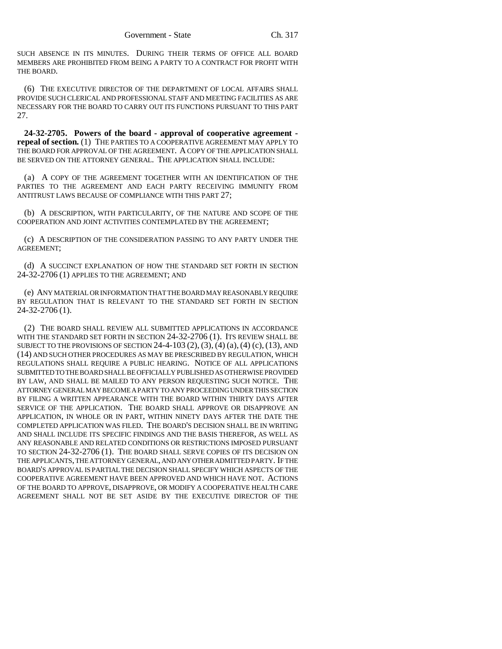SUCH ABSENCE IN ITS MINUTES. DURING THEIR TERMS OF OFFICE ALL BOARD MEMBERS ARE PROHIBITED FROM BEING A PARTY TO A CONTRACT FOR PROFIT WITH THE BOARD.

(6) THE EXECUTIVE DIRECTOR OF THE DEPARTMENT OF LOCAL AFFAIRS SHALL PROVIDE SUCH CLERICAL AND PROFESSIONAL STAFF AND MEETING FACILITIES AS ARE NECESSARY FOR THE BOARD TO CARRY OUT ITS FUNCTIONS PURSUANT TO THIS PART 27.

**24-32-2705. Powers of the board - approval of cooperative agreement repeal of section.** (1) THE PARTIES TO A COOPERATIVE AGREEMENT MAY APPLY TO THE BOARD FOR APPROVAL OF THE AGREEMENT. A COPY OF THE APPLICATION SHALL BE SERVED ON THE ATTORNEY GENERAL. THE APPLICATION SHALL INCLUDE:

(a) A COPY OF THE AGREEMENT TOGETHER WITH AN IDENTIFICATION OF THE PARTIES TO THE AGREEMENT AND EACH PARTY RECEIVING IMMUNITY FROM ANTITRUST LAWS BECAUSE OF COMPLIANCE WITH THIS PART 27;

(b) A DESCRIPTION, WITH PARTICULARITY, OF THE NATURE AND SCOPE OF THE COOPERATION AND JOINT ACTIVITIES CONTEMPLATED BY THE AGREEMENT;

(c) A DESCRIPTION OF THE CONSIDERATION PASSING TO ANY PARTY UNDER THE AGREEMENT;

(d) A SUCCINCT EXPLANATION OF HOW THE STANDARD SET FORTH IN SECTION 24-32-2706 (1) APPLIES TO THE AGREEMENT; AND

(e) ANY MATERIAL OR INFORMATION THAT THE BOARD MAY REASONABLY REQUIRE BY REGULATION THAT IS RELEVANT TO THE STANDARD SET FORTH IN SECTION 24-32-2706 (1).

(2) THE BOARD SHALL REVIEW ALL SUBMITTED APPLICATIONS IN ACCORDANCE WITH THE STANDARD SET FORTH IN SECTION 24-32-2706 (1). ITS REVIEW SHALL BE SUBJECT TO THE PROVISIONS OF SECTION 24-4-103  $(2)$ ,  $(3)$ ,  $(4)$   $(a)$ ,  $(4)$   $(c)$ ,  $(13)$ , AND (14) AND SUCH OTHER PROCEDURES AS MAY BE PRESCRIBED BY REGULATION, WHICH REGULATIONS SHALL REQUIRE A PUBLIC HEARING. NOTICE OF ALL APPLICATIONS SUBMITTED TO THE BOARD SHALL BE OFFICIALLY PUBLISHED AS OTHERWISE PROVIDED BY LAW, AND SHALL BE MAILED TO ANY PERSON REQUESTING SUCH NOTICE. THE ATTORNEY GENERAL MAY BECOME A PARTY TO ANY PROCEEDING UNDER THIS SECTION BY FILING A WRITTEN APPEARANCE WITH THE BOARD WITHIN THIRTY DAYS AFTER SERVICE OF THE APPLICATION. THE BOARD SHALL APPROVE OR DISAPPROVE AN APPLICATION, IN WHOLE OR IN PART, WITHIN NINETY DAYS AFTER THE DATE THE COMPLETED APPLICATION WAS FILED. THE BOARD'S DECISION SHALL BE IN WRITING AND SHALL INCLUDE ITS SPECIFIC FINDINGS AND THE BASIS THEREFOR, AS WELL AS ANY REASONABLE AND RELATED CONDITIONS OR RESTRICTIONS IMPOSED PURSUANT TO SECTION 24-32-2706 (1). THE BOARD SHALL SERVE COPIES OF ITS DECISION ON THE APPLICANTS, THE ATTORNEY GENERAL, AND ANY OTHER ADMITTED PARTY. IF THE BOARD'S APPROVAL IS PARTIAL THE DECISION SHALL SPECIFY WHICH ASPECTS OF THE COOPERATIVE AGREEMENT HAVE BEEN APPROVED AND WHICH HAVE NOT. ACTIONS OF THE BOARD TO APPROVE, DISAPPROVE, OR MODIFY A COOPERATIVE HEALTH CARE AGREEMENT SHALL NOT BE SET ASIDE BY THE EXECUTIVE DIRECTOR OF THE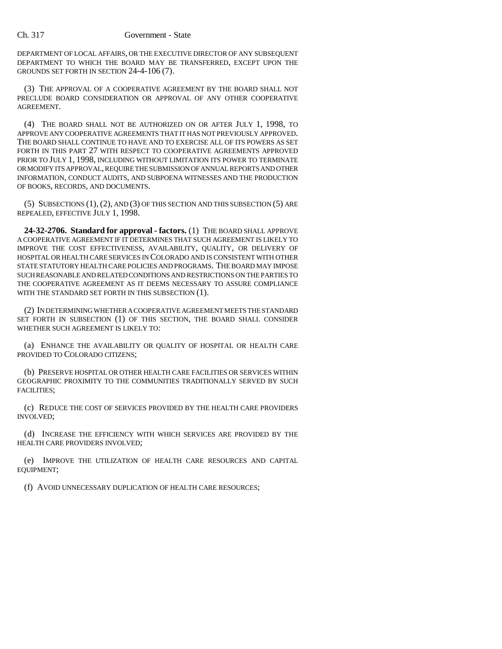DEPARTMENT OF LOCAL AFFAIRS, OR THE EXECUTIVE DIRECTOR OF ANY SUBSEQUENT DEPARTMENT TO WHICH THE BOARD MAY BE TRANSFERRED, EXCEPT UPON THE GROUNDS SET FORTH IN SECTION 24-4-106 (7).

(3) THE APPROVAL OF A COOPERATIVE AGREEMENT BY THE BOARD SHALL NOT PRECLUDE BOARD CONSIDERATION OR APPROVAL OF ANY OTHER COOPERATIVE AGREEMENT.

(4) THE BOARD SHALL NOT BE AUTHORIZED ON OR AFTER JULY 1, 1998, TO APPROVE ANY COOPERATIVE AGREEMENTS THAT IT HAS NOT PREVIOUSLY APPROVED. THE BOARD SHALL CONTINUE TO HAVE AND TO EXERCISE ALL OF ITS POWERS AS SET FORTH IN THIS PART 27 WITH RESPECT TO COOPERATIVE AGREEMENTS APPROVED PRIOR TO JULY 1, 1998, INCLUDING WITHOUT LIMITATION ITS POWER TO TERMINATE OR MODIFY ITS APPROVAL, REQUIRE THE SUBMISSION OF ANNUAL REPORTS AND OTHER INFORMATION, CONDUCT AUDITS, AND SUBPOENA WITNESSES AND THE PRODUCTION OF BOOKS, RECORDS, AND DOCUMENTS.

(5) SUBSECTIONS (1), (2), AND (3) OF THIS SECTION AND THIS SUBSECTION (5) ARE REPEALED, EFFECTIVE JULY 1, 1998.

**24-32-2706. Standard for approval - factors.** (1) THE BOARD SHALL APPROVE A COOPERATIVE AGREEMENT IF IT DETERMINES THAT SUCH AGREEMENT IS LIKELY TO IMPROVE THE COST EFFECTIVENESS, AVAILABILITY, QUALITY, OR DELIVERY OF HOSPITAL OR HEALTH CARE SERVICES IN COLORADO AND IS CONSISTENT WITH OTHER STATE STATUTORY HEALTH CARE POLICIES AND PROGRAMS. THE BOARD MAY IMPOSE SUCH REASONABLE AND RELATED CONDITIONS AND RESTRICTIONS ON THE PARTIES TO THE COOPERATIVE AGREEMENT AS IT DEEMS NECESSARY TO ASSURE COMPLIANCE WITH THE STANDARD SET FORTH IN THIS SUBSECTION (1).

(2) IN DETERMINING WHETHER A COOPERATIVE AGREEMENT MEETS THE STANDARD SET FORTH IN SUBSECTION (1) OF THIS SECTION, THE BOARD SHALL CONSIDER WHETHER SUCH AGREEMENT IS LIKELY TO:

(a) ENHANCE THE AVAILABILITY OR QUALITY OF HOSPITAL OR HEALTH CARE PROVIDED TO COLORADO CITIZENS;

(b) PRESERVE HOSPITAL OR OTHER HEALTH CARE FACILITIES OR SERVICES WITHIN GEOGRAPHIC PROXIMITY TO THE COMMUNITIES TRADITIONALLY SERVED BY SUCH FACILITIES;

(c) REDUCE THE COST OF SERVICES PROVIDED BY THE HEALTH CARE PROVIDERS INVOLVED;

(d) INCREASE THE EFFICIENCY WITH WHICH SERVICES ARE PROVIDED BY THE HEALTH CARE PROVIDERS INVOLVED;

(e) IMPROVE THE UTILIZATION OF HEALTH CARE RESOURCES AND CAPITAL EQUIPMENT;

(f) AVOID UNNECESSARY DUPLICATION OF HEALTH CARE RESOURCES;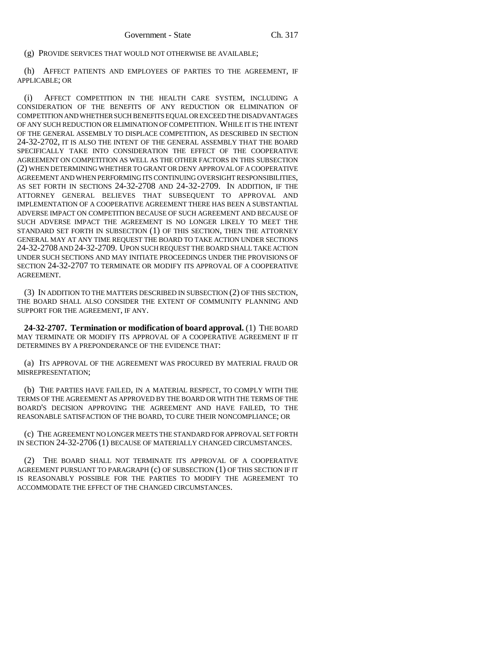(g) PROVIDE SERVICES THAT WOULD NOT OTHERWISE BE AVAILABLE;

(h) AFFECT PATIENTS AND EMPLOYEES OF PARTIES TO THE AGREEMENT, IF APPLICABLE; OR

(i) AFFECT COMPETITION IN THE HEALTH CARE SYSTEM, INCLUDING A CONSIDERATION OF THE BENEFITS OF ANY REDUCTION OR ELIMINATION OF COMPETITION AND WHETHER SUCH BENEFITS EQUAL OR EXCEED THE DISADVANTAGES OF ANY SUCH REDUCTION OR ELIMINATION OF COMPETITION. WHILE IT IS THE INTENT OF THE GENERAL ASSEMBLY TO DISPLACE COMPETITION, AS DESCRIBED IN SECTION 24-32-2702, IT IS ALSO THE INTENT OF THE GENERAL ASSEMBLY THAT THE BOARD SPECIFICALLY TAKE INTO CONSIDERATION THE EFFECT OF THE COOPERATIVE AGREEMENT ON COMPETITION AS WELL AS THE OTHER FACTORS IN THIS SUBSECTION (2) WHEN DETERMINING WHETHER TO GRANT OR DENY APPROVAL OF A COOPERATIVE AGREEMENT AND WHEN PERFORMING ITS CONTINUING OVERSIGHT RESPONSIBILITIES, AS SET FORTH IN SECTIONS 24-32-2708 AND 24-32-2709. IN ADDITION, IF THE ATTORNEY GENERAL BELIEVES THAT SUBSEQUENT TO APPROVAL AND IMPLEMENTATION OF A COOPERATIVE AGREEMENT THERE HAS BEEN A SUBSTANTIAL ADVERSE IMPACT ON COMPETITION BECAUSE OF SUCH AGREEMENT AND BECAUSE OF SUCH ADVERSE IMPACT THE AGREEMENT IS NO LONGER LIKELY TO MEET THE STANDARD SET FORTH IN SUBSECTION (1) OF THIS SECTION, THEN THE ATTORNEY GENERAL MAY AT ANY TIME REQUEST THE BOARD TO TAKE ACTION UNDER SECTIONS 24-32-2708 AND 24-32-2709. UPON SUCH REQUEST THE BOARD SHALL TAKE ACTION UNDER SUCH SECTIONS AND MAY INITIATE PROCEEDINGS UNDER THE PROVISIONS OF SECTION 24-32-2707 TO TERMINATE OR MODIFY ITS APPROVAL OF A COOPERATIVE AGREEMENT.

(3) IN ADDITION TO THE MATTERS DESCRIBED IN SUBSECTION (2) OF THIS SECTION, THE BOARD SHALL ALSO CONSIDER THE EXTENT OF COMMUNITY PLANNING AND SUPPORT FOR THE AGREEMENT, IF ANY.

**24-32-2707. Termination or modification of board approval.** (1) THE BOARD MAY TERMINATE OR MODIFY ITS APPROVAL OF A COOPERATIVE AGREEMENT IF IT DETERMINES BY A PREPONDERANCE OF THE EVIDENCE THAT:

(a) ITS APPROVAL OF THE AGREEMENT WAS PROCURED BY MATERIAL FRAUD OR MISREPRESENTATION;

(b) THE PARTIES HAVE FAILED, IN A MATERIAL RESPECT, TO COMPLY WITH THE TERMS OF THE AGREEMENT AS APPROVED BY THE BOARD OR WITH THE TERMS OF THE BOARD'S DECISION APPROVING THE AGREEMENT AND HAVE FAILED, TO THE REASONABLE SATISFACTION OF THE BOARD, TO CURE THEIR NONCOMPLIANCE; OR

(c) THE AGREEMENT NO LONGER MEETS THE STANDARD FOR APPROVAL SET FORTH IN SECTION 24-32-2706 (1) BECAUSE OF MATERIALLY CHANGED CIRCUMSTANCES.

(2) THE BOARD SHALL NOT TERMINATE ITS APPROVAL OF A COOPERATIVE AGREEMENT PURSUANT TO PARAGRAPH (c) OF SUBSECTION (1) OF THIS SECTION IF IT IS REASONABLY POSSIBLE FOR THE PARTIES TO MODIFY THE AGREEMENT TO ACCOMMODATE THE EFFECT OF THE CHANGED CIRCUMSTANCES.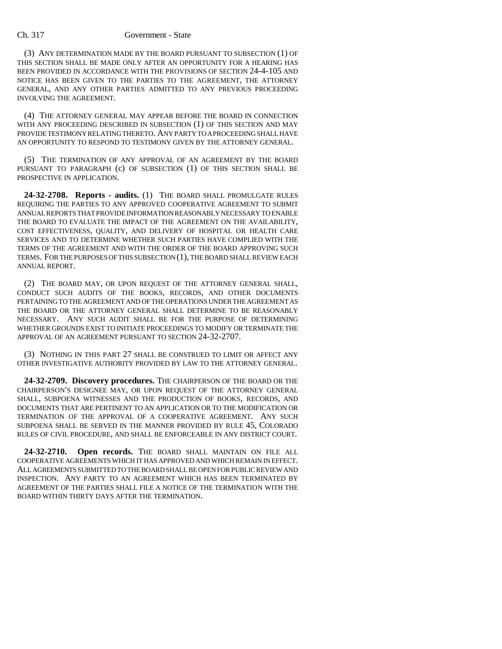#### Ch. 317 Government - State

(3) ANY DETERMINATION MADE BY THE BOARD PURSUANT TO SUBSECTION (1) OF THIS SECTION SHALL BE MADE ONLY AFTER AN OPPORTUNITY FOR A HEARING HAS BEEN PROVIDED IN ACCORDANCE WITH THE PROVISIONS OF SECTION 24-4-105 AND NOTICE HAS BEEN GIVEN TO THE PARTIES TO THE AGREEMENT, THE ATTORNEY GENERAL, AND ANY OTHER PARTIES ADMITTED TO ANY PREVIOUS PROCEEDING INVOLVING THE AGREEMENT.

(4) THE ATTORNEY GENERAL MAY APPEAR BEFORE THE BOARD IN CONNECTION WITH ANY PROCEEDING DESCRIBED IN SUBSECTION (1) OF THIS SECTION AND MAY PROVIDE TESTIMONY RELATING THERETO. ANY PARTY TO A PROCEEDING SHALL HAVE AN OPPORTUNITY TO RESPOND TO TESTIMONY GIVEN BY THE ATTORNEY GENERAL.

(5) THE TERMINATION OF ANY APPROVAL OF AN AGREEMENT BY THE BOARD PURSUANT TO PARAGRAPH (c) OF SUBSECTION (1) OF THIS SECTION SHALL BE PROSPECTIVE IN APPLICATION.

**24-32-2708. Reports - audits.** (1) THE BOARD SHALL PROMULGATE RULES REQUIRING THE PARTIES TO ANY APPROVED COOPERATIVE AGREEMENT TO SUBMIT ANNUAL REPORTS THAT PROVIDE INFORMATION REASONABLY NECESSARY TO ENABLE THE BOARD TO EVALUATE THE IMPACT OF THE AGREEMENT ON THE AVAILABILITY, COST EFFECTIVENESS, QUALITY, AND DELIVERY OF HOSPITAL OR HEALTH CARE SERVICES AND TO DETERMINE WHETHER SUCH PARTIES HAVE COMPLIED WITH THE TERMS OF THE AGREEMENT AND WITH THE ORDER OF THE BOARD APPROVING SUCH TERMS. FOR THE PURPOSES OF THIS SUBSECTION (1), THE BOARD SHALL REVIEW EACH ANNUAL REPORT.

(2) THE BOARD MAY, OR UPON REQUEST OF THE ATTORNEY GENERAL SHALL, CONDUCT SUCH AUDITS OF THE BOOKS, RECORDS, AND OTHER DOCUMENTS PERTAINING TO THE AGREEMENT AND OF THE OPERATIONS UNDER THE AGREEMENT AS THE BOARD OR THE ATTORNEY GENERAL SHALL DETERMINE TO BE REASONABLY NECESSARY. ANY SUCH AUDIT SHALL BE FOR THE PURPOSE OF DETERMINING WHETHER GROUNDS EXIST TO INITIATE PROCEEDINGS TO MODIFY OR TERMINATE THE APPROVAL OF AN AGREEMENT PURSUANT TO SECTION 24-32-2707.

(3) NOTHING IN THIS PART 27 SHALL BE CONSTRUED TO LIMIT OR AFFECT ANY OTHER INVESTIGATIVE AUTHORITY PROVIDED BY LAW TO THE ATTORNEY GENERAL.

**24-32-2709. Discovery procedures.** THE CHAIRPERSON OF THE BOARD OR THE CHAIRPERSON'S DESIGNEE MAY, OR UPON REQUEST OF THE ATTORNEY GENERAL SHALL, SUBPOENA WITNESSES AND THE PRODUCTION OF BOOKS, RECORDS, AND DOCUMENTS THAT ARE PERTINENT TO AN APPLICATION OR TO THE MODIFICATION OR TERMINATION OF THE APPROVAL OF A COOPERATIVE AGREEMENT. ANY SUCH SUBPOENA SHALL BE SERVED IN THE MANNER PROVIDED BY RULE 45, COLORADO RULES OF CIVIL PROCEDURE, AND SHALL BE ENFORCEABLE IN ANY DISTRICT COURT.

**24-32-2710. Open records.** THE BOARD SHALL MAINTAIN ON FILE ALL COOPERATIVE AGREEMENTS WHICH IT HAS APPROVED AND WHICH REMAIN IN EFFECT. ALL AGREEMENTS SUBMITTED TO THE BOARD SHALL BE OPEN FOR PUBLIC REVIEW AND INSPECTION. ANY PARTY TO AN AGREEMENT WHICH HAS BEEN TERMINATED BY AGREEMENT OF THE PARTIES SHALL FILE A NOTICE OF THE TERMINATION WITH THE BOARD WITHIN THIRTY DAYS AFTER THE TERMINATION.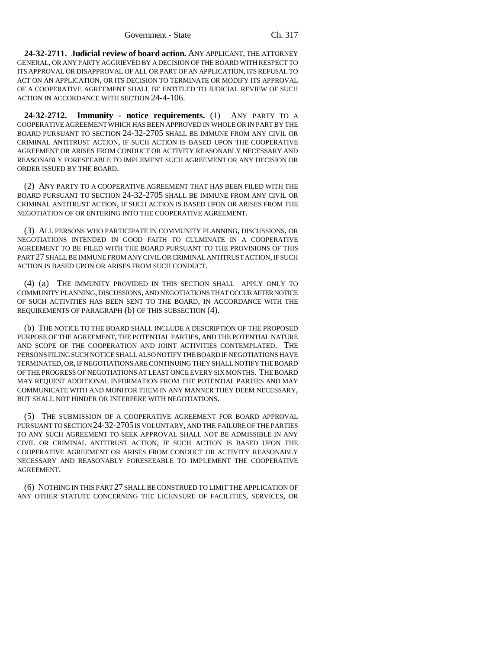**24-32-2711. Judicial review of board action.** ANY APPLICANT, THE ATTORNEY GENERAL, OR ANY PARTY AGGRIEVED BY A DECISION OF THE BOARD WITH RESPECT TO ITS APPROVAL OR DISAPPROVAL OF ALL OR PART OF AN APPLICATION, ITS REFUSAL TO ACT ON AN APPLICATION, OR ITS DECISION TO TERMINATE OR MODIFY ITS APPROVAL OF A COOPERATIVE AGREEMENT SHALL BE ENTITLED TO JUDICIAL REVIEW OF SUCH ACTION IN ACCORDANCE WITH SECTION 24-4-106.

**24-32-2712. Immunity - notice requirements.** (1) ANY PARTY TO A COOPERATIVE AGREEMENT WHICH HAS BEEN APPROVED IN WHOLE OR IN PART BY THE BOARD PURSUANT TO SECTION 24-32-2705 SHALL BE IMMUNE FROM ANY CIVIL OR CRIMINAL ANTITRUST ACTION, IF SUCH ACTION IS BASED UPON THE COOPERATIVE AGREEMENT OR ARISES FROM CONDUCT OR ACTIVITY REASONABLY NECESSARY AND REASONABLY FORESEEABLE TO IMPLEMENT SUCH AGREEMENT OR ANY DECISION OR ORDER ISSUED BY THE BOARD.

(2) ANY PARTY TO A COOPERATIVE AGREEMENT THAT HAS BEEN FILED WITH THE BOARD PURSUANT TO SECTION 24-32-2705 SHALL BE IMMUNE FROM ANY CIVIL OR CRIMINAL ANTITRUST ACTION, IF SUCH ACTION IS BASED UPON OR ARISES FROM THE NEGOTIATION OF OR ENTERING INTO THE COOPERATIVE AGREEMENT.

(3) ALL PERSONS WHO PARTICIPATE IN COMMUNITY PLANNING, DISCUSSIONS, OR NEGOTIATIONS INTENDED IN GOOD FAITH TO CULMINATE IN A COOPERATIVE AGREEMENT TO BE FILED WITH THE BOARD PURSUANT TO THE PROVISIONS OF THIS PART 27 SHALL BE IMMUNE FROM ANY CIVIL OR CRIMINAL ANTITRUST ACTION, IF SUCH ACTION IS BASED UPON OR ARISES FROM SUCH CONDUCT.

(4) (a) THE IMMUNITY PROVIDED IN THIS SECTION SHALL APPLY ONLY TO COMMUNITY PLANNING, DISCUSSIONS, AND NEGOTIATIONS THAT OCCUR AFTER NOTICE OF SUCH ACTIVITIES HAS BEEN SENT TO THE BOARD, IN ACCORDANCE WITH THE REQUIREMENTS OF PARAGRAPH (b) OF THIS SUBSECTION (4).

(b) THE NOTICE TO THE BOARD SHALL INCLUDE A DESCRIPTION OF THE PROPOSED PURPOSE OF THE AGREEMENT, THE POTENTIAL PARTIES, AND THE POTENTIAL NATURE AND SCOPE OF THE COOPERATION AND JOINT ACTIVITIES CONTEMPLATED. THE PERSONS FILING SUCH NOTICE SHALL ALSO NOTIFY THE BOARD IF NEGOTIATIONS HAVE TERMINATED, OR, IF NEGOTIATIONS ARE CONTINUING THEY SHALL NOTIFY THE BOARD OF THE PROGRESS OF NEGOTIATIONS AT LEAST ONCE EVERY SIX MONTHS. THE BOARD MAY REQUEST ADDITIONAL INFORMATION FROM THE POTENTIAL PARTIES AND MAY COMMUNICATE WITH AND MONITOR THEM IN ANY MANNER THEY DEEM NECESSARY, BUT SHALL NOT HINDER OR INTERFERE WITH NEGOTIATIONS.

(5) THE SUBMISSION OF A COOPERATIVE AGREEMENT FOR BOARD APPROVAL PURSUANT TO SECTION 24-32-2705 IS VOLUNTARY, AND THE FAILURE OF THE PARTIES TO ANY SUCH AGREEMENT TO SEEK APPROVAL SHALL NOT BE ADMISSIBLE IN ANY CIVIL OR CRIMINAL ANTITRUST ACTION, IF SUCH ACTION IS BASED UPON THE COOPERATIVE AGREEMENT OR ARISES FROM CONDUCT OR ACTIVITY REASONABLY NECESSARY AND REASONABLY FORESEEABLE TO IMPLEMENT THE COOPERATIVE AGREEMENT.

(6) NOTHING IN THIS PART 27 SHALL BE CONSTRUED TO LIMIT THE APPLICATION OF ANY OTHER STATUTE CONCERNING THE LICENSURE OF FACILITIES, SERVICES, OR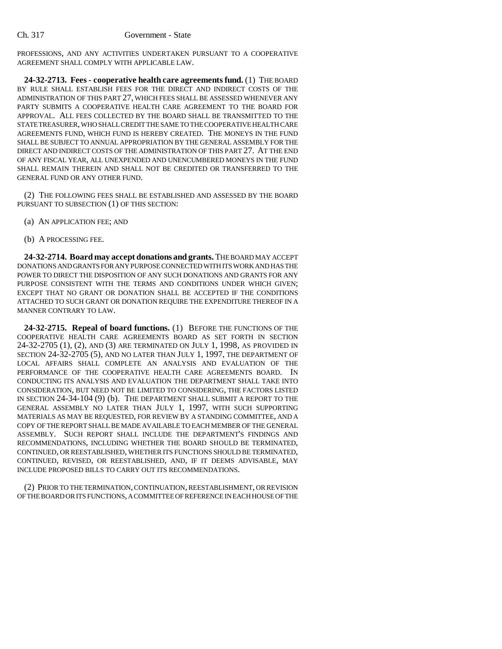PROFESSIONS, AND ANY ACTIVITIES UNDERTAKEN PURSUANT TO A COOPERATIVE AGREEMENT SHALL COMPLY WITH APPLICABLE LAW.

**24-32-2713. Fees - cooperative health care agreements fund.** (1) THE BOARD BY RULE SHALL ESTABLISH FEES FOR THE DIRECT AND INDIRECT COSTS OF THE ADMINISTRATION OF THIS PART 27, WHICH FEES SHALL BE ASSESSED WHENEVER ANY PARTY SUBMITS A COOPERATIVE HEALTH CARE AGREEMENT TO THE BOARD FOR APPROVAL. ALL FEES COLLECTED BY THE BOARD SHALL BE TRANSMITTED TO THE STATE TREASURER, WHO SHALL CREDIT THE SAME TO THE COOPERATIVE HEALTH CARE AGREEMENTS FUND, WHICH FUND IS HEREBY CREATED. THE MONEYS IN THE FUND SHALL BE SUBJECT TO ANNUAL APPROPRIATION BY THE GENERAL ASSEMBLY FOR THE DIRECT AND INDIRECT COSTS OF THE ADMINISTRATION OF THIS PART 27. AT THE END OF ANY FISCAL YEAR, ALL UNEXPENDED AND UNENCUMBERED MONEYS IN THE FUND SHALL REMAIN THEREIN AND SHALL NOT BE CREDITED OR TRANSFERRED TO THE GENERAL FUND OR ANY OTHER FUND.

(2) THE FOLLOWING FEES SHALL BE ESTABLISHED AND ASSESSED BY THE BOARD PURSUANT TO SUBSECTION (1) OF THIS SECTION:

- (a) AN APPLICATION FEE; AND
- (b) A PROCESSING FEE.

**24-32-2714. Board may accept donations and grants.** THE BOARD MAY ACCEPT DONATIONS AND GRANTS FOR ANY PURPOSE CONNECTED WITH ITS WORK AND HAS THE POWER TO DIRECT THE DISPOSITION OF ANY SUCH DONATIONS AND GRANTS FOR ANY PURPOSE CONSISTENT WITH THE TERMS AND CONDITIONS UNDER WHICH GIVEN; EXCEPT THAT NO GRANT OR DONATION SHALL BE ACCEPTED IF THE CONDITIONS ATTACHED TO SUCH GRANT OR DONATION REQUIRE THE EXPENDITURE THEREOF IN A MANNER CONTRARY TO LAW.

**24-32-2715. Repeal of board functions.** (1) BEFORE THE FUNCTIONS OF THE COOPERATIVE HEALTH CARE AGREEMENTS BOARD AS SET FORTH IN SECTION 24-32-2705 (1), (2), AND (3) ARE TERMINATED ON JULY 1, 1998, AS PROVIDED IN SECTION 24-32-2705 (5), AND NO LATER THAN JULY 1, 1997, THE DEPARTMENT OF LOCAL AFFAIRS SHALL COMPLETE AN ANALYSIS AND EVALUATION OF THE PERFORMANCE OF THE COOPERATIVE HEALTH CARE AGREEMENTS BOARD. IN CONDUCTING ITS ANALYSIS AND EVALUATION THE DEPARTMENT SHALL TAKE INTO CONSIDERATION, BUT NEED NOT BE LIMITED TO CONSIDERING, THE FACTORS LISTED IN SECTION 24-34-104 (9) (b). THE DEPARTMENT SHALL SUBMIT A REPORT TO THE GENERAL ASSEMBLY NO LATER THAN JULY 1, 1997, WITH SUCH SUPPORTING MATERIALS AS MAY BE REQUESTED, FOR REVIEW BY A STANDING COMMITTEE, AND A COPY OF THE REPORT SHALL BE MADE AVAILABLE TO EACH MEMBER OF THE GENERAL ASSEMBLY. SUCH REPORT SHALL INCLUDE THE DEPARTMENT'S FINDINGS AND RECOMMENDATIONS, INCLUDING WHETHER THE BOARD SHOULD BE TERMINATED, CONTINUED, OR REESTABLISHED, WHETHER ITS FUNCTIONS SHOULD BE TERMINATED, CONTINUED, REVISED, OR REESTABLISHED, AND, IF IT DEEMS ADVISABLE, MAY INCLUDE PROPOSED BILLS TO CARRY OUT ITS RECOMMENDATIONS.

(2) PRIOR TO THE TERMINATION, CONTINUATION, REESTABLISHMENT, OR REVISION OF THE BOARD OR ITS FUNCTIONS, A COMMITTEE OF REFERENCE IN EACH HOUSE OF THE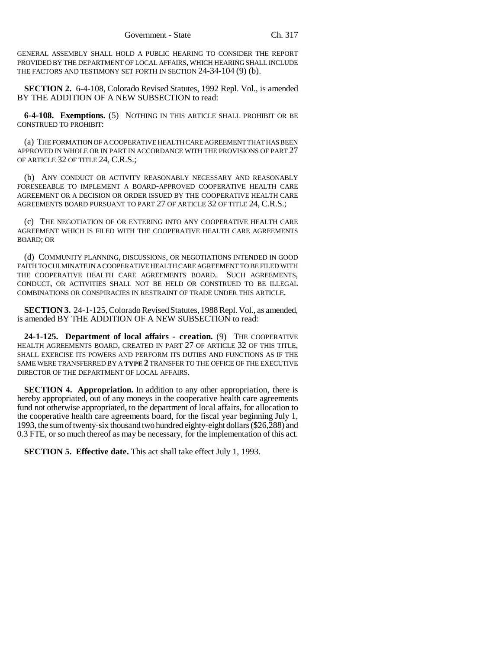GENERAL ASSEMBLY SHALL HOLD A PUBLIC HEARING TO CONSIDER THE REPORT PROVIDED BY THE DEPARTMENT OF LOCAL AFFAIRS, WHICH HEARING SHALL INCLUDE THE FACTORS AND TESTIMONY SET FORTH IN SECTION 24-34-104 (9) (b).

**SECTION 2.** 6-4-108, Colorado Revised Statutes, 1992 Repl. Vol., is amended BY THE ADDITION OF A NEW SUBSECTION to read:

**6-4-108. Exemptions.** (5) NOTHING IN THIS ARTICLE SHALL PROHIBIT OR BE CONSTRUED TO PROHIBIT:

(a) THE FORMATION OF A COOPERATIVE HEALTH CARE AGREEMENT THAT HAS BEEN APPROVED IN WHOLE OR IN PART IN ACCORDANCE WITH THE PROVISIONS OF PART 27 OF ARTICLE 32 OF TITLE 24, C.R.S.;

(b) ANY CONDUCT OR ACTIVITY REASONABLY NECESSARY AND REASONABLY FORESEEABLE TO IMPLEMENT A BOARD-APPROVED COOPERATIVE HEALTH CARE AGREEMENT OR A DECISION OR ORDER ISSUED BY THE COOPERATIVE HEALTH CARE AGREEMENTS BOARD PURSUANT TO PART 27 OF ARTICLE 32 OF TITLE 24, C.R.S.;

(c) THE NEGOTIATION OF OR ENTERING INTO ANY COOPERATIVE HEALTH CARE AGREEMENT WHICH IS FILED WITH THE COOPERATIVE HEALTH CARE AGREEMENTS BOARD; OR

(d) COMMUNITY PLANNING, DISCUSSIONS, OR NEGOTIATIONS INTENDED IN GOOD FAITH TO CULMINATE IN A COOPERATIVE HEALTH CARE AGREEMENT TO BE FILED WITH THE COOPERATIVE HEALTH CARE AGREEMENTS BOARD. SUCH AGREEMENTS, CONDUCT, OR ACTIVITIES SHALL NOT BE HELD OR CONSTRUED TO BE ILLEGAL COMBINATIONS OR CONSPIRACIES IN RESTRAINT OF TRADE UNDER THIS ARTICLE.

**SECTION 3.** 24-1-125, Colorado Revised Statutes, 1988 Repl. Vol., as amended, is amended BY THE ADDITION OF A NEW SUBSECTION to read:

**24-1-125. Department of local affairs - creation.** (9) THE COOPERATIVE HEALTH AGREEMENTS BOARD, CREATED IN PART 27 OF ARTICLE 32 OF THIS TITLE, SHALL EXERCISE ITS POWERS AND PERFORM ITS DUTIES AND FUNCTIONS AS IF THE SAME WERE TRANSFERRED BY A **TYPE 2** TRANSFER TO THE OFFICE OF THE EXECUTIVE DIRECTOR OF THE DEPARTMENT OF LOCAL AFFAIRS.

**SECTION 4. Appropriation.** In addition to any other appropriation, there is hereby appropriated, out of any moneys in the cooperative health care agreements fund not otherwise appropriated, to the department of local affairs, for allocation to the cooperative health care agreements board, for the fiscal year beginning July 1, 1993, the sum of twenty-six thousand two hundred eighty-eight dollars (\$26,288) and 0.3 FTE, or so much thereof as may be necessary, for the implementation of this act.

**SECTION 5. Effective date.** This act shall take effect July 1, 1993.